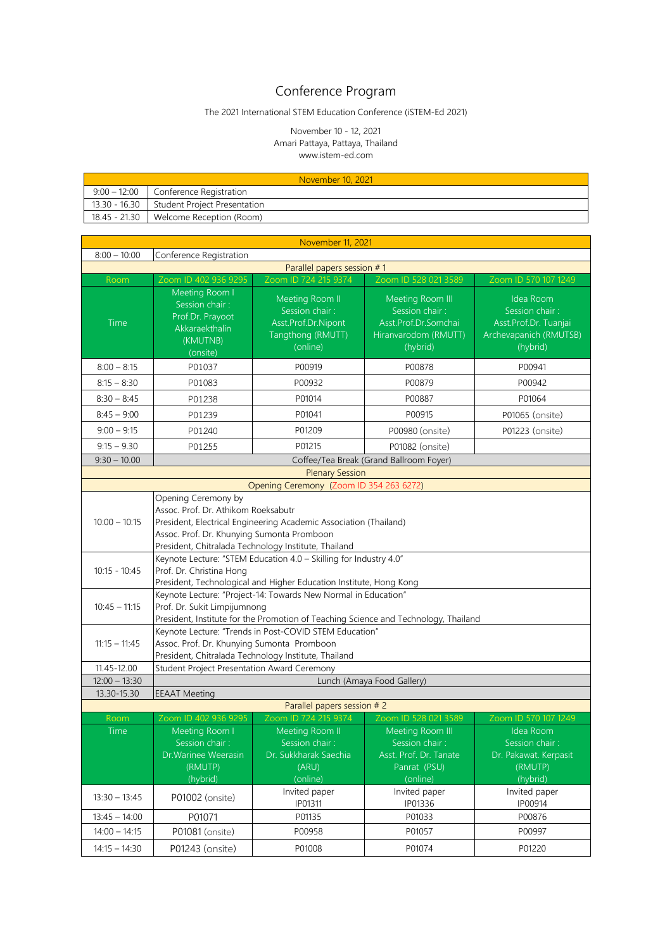## Conference Program

## The 2021 International STEM Education Conference (iSTEM-Ed 2021)

## November 10 - 12, 2021 Amari Pattaya, Pattaya, Thailand www.istem-ed.com

| November 10, 2021 |                                            |  |  |  |
|-------------------|--------------------------------------------|--|--|--|
|                   | $9:00 - 12:00$ Conference Registration     |  |  |  |
|                   | 13.30 - 16.30 Student Project Presentation |  |  |  |
|                   | 18.45 - 21.30   Welcome Reception (Room)   |  |  |  |

| November 11, 2021                                                |                                                                                                                                                                                                                                       |                                                                                                                |                                                                                                                  |                                                                                                     |  |  |  |  |
|------------------------------------------------------------------|---------------------------------------------------------------------------------------------------------------------------------------------------------------------------------------------------------------------------------------|----------------------------------------------------------------------------------------------------------------|------------------------------------------------------------------------------------------------------------------|-----------------------------------------------------------------------------------------------------|--|--|--|--|
| $8:00 - 10:00$<br>Conference Registration                        |                                                                                                                                                                                                                                       |                                                                                                                |                                                                                                                  |                                                                                                     |  |  |  |  |
| Parallel papers session #1                                       |                                                                                                                                                                                                                                       |                                                                                                                |                                                                                                                  |                                                                                                     |  |  |  |  |
| Room                                                             | Zoom ID 402 936 9295                                                                                                                                                                                                                  | Zoom ID 724 215 9374                                                                                           | Zoom ID 528 021 3589                                                                                             | Zoom ID 570 107 1249                                                                                |  |  |  |  |
| Time                                                             | Meeting Room I<br>Session chair:<br>Prof.Dr. Prayoot<br>Akkaraekthalin<br>(KMUTNB)<br>(onsite)                                                                                                                                        | Idea Room<br>Session chair:<br>Asst.Prof.Dr. Tuanjai<br>Archevapanich (RMUTSB)<br>(hybrid)                     |                                                                                                                  |                                                                                                     |  |  |  |  |
| $8:00 - 8:15$                                                    | P00878<br>P00941<br>P01037<br>P00919                                                                                                                                                                                                  |                                                                                                                |                                                                                                                  |                                                                                                     |  |  |  |  |
| $8:15 - 8:30$                                                    | P01083                                                                                                                                                                                                                                | P00932                                                                                                         | P00879                                                                                                           | P00942                                                                                              |  |  |  |  |
| $8:30 - 8:45$                                                    | P01238                                                                                                                                                                                                                                | P01014                                                                                                         | P00887                                                                                                           | P01064                                                                                              |  |  |  |  |
| $8:45 - 9:00$                                                    | P01239                                                                                                                                                                                                                                | P01041                                                                                                         | P00915                                                                                                           | P01065 (onsite)                                                                                     |  |  |  |  |
| $9:00 - 9:15$                                                    | P01240                                                                                                                                                                                                                                | P01209                                                                                                         | P00980 (onsite)                                                                                                  | P01223 (onsite)                                                                                     |  |  |  |  |
| $9:15 - 9.30$                                                    | P01255                                                                                                                                                                                                                                | P01215                                                                                                         | P01082 (onsite)                                                                                                  |                                                                                                     |  |  |  |  |
| $9:30 - 10.00$                                                   |                                                                                                                                                                                                                                       |                                                                                                                | Coffee/Tea Break (Grand Ballroom Foyer)                                                                          |                                                                                                     |  |  |  |  |
|                                                                  |                                                                                                                                                                                                                                       | <b>Plenary Session</b>                                                                                         |                                                                                                                  |                                                                                                     |  |  |  |  |
|                                                                  |                                                                                                                                                                                                                                       | Opening Ceremony (Zoom ID 354 263 6272)                                                                        |                                                                                                                  |                                                                                                     |  |  |  |  |
| $10:00 - 10:15$                                                  | Opening Ceremony by<br>Assoc. Prof. Dr. Athikom Roeksabutr<br>President, Electrical Engineering Academic Association (Thailand)<br>Assoc. Prof. Dr. Khunying Sumonta Promboon<br>President, Chitralada Technology Institute, Thailand |                                                                                                                |                                                                                                                  |                                                                                                     |  |  |  |  |
| $10:15 - 10:45$                                                  | Keynote Lecture: "STEM Education 4.0 - Skilling for Industry 4.0"<br>Prof. Dr. Christina Hong<br>President, Technological and Higher Education Institute, Hong Kong                                                                   |                                                                                                                |                                                                                                                  |                                                                                                     |  |  |  |  |
| $10:45 - 11:15$                                                  | Keynote Lecture: "Project-14: Towards New Normal in Education"<br>Prof. Dr. Sukit Limpijumnong<br>President, Institute for the Promotion of Teaching Science and Technology, Thailand                                                 |                                                                                                                |                                                                                                                  |                                                                                                     |  |  |  |  |
| $11:15 - 11:45$                                                  | Assoc. Prof. Dr. Khunying Sumonta Promboon                                                                                                                                                                                            | Keynote Lecture: "Trends in Post-COVID STEM Education"<br>President, Chitralada Technology Institute, Thailand |                                                                                                                  |                                                                                                     |  |  |  |  |
| 11.45-12.00                                                      | Student Project Presentation Award Ceremony                                                                                                                                                                                           |                                                                                                                |                                                                                                                  |                                                                                                     |  |  |  |  |
| $12:00 - 13:30$                                                  |                                                                                                                                                                                                                                       |                                                                                                                | Lunch (Amaya Food Gallery)                                                                                       |                                                                                                     |  |  |  |  |
| 13.30-15.30                                                      | <b>EEAAT Meeting</b>                                                                                                                                                                                                                  |                                                                                                                |                                                                                                                  |                                                                                                     |  |  |  |  |
|                                                                  |                                                                                                                                                                                                                                       | Parallel papers session # 2<br>Zoom ID 724 215 9374                                                            |                                                                                                                  |                                                                                                     |  |  |  |  |
| Room<br>Time                                                     | Zoom ID 402 936 9295<br>Meeting Room I<br>Session chair:<br>Dr. Warinee Weerasin<br>(RMUTP)<br>(hybrid)                                                                                                                               | Meeting Room II<br>Session chair:<br>Dr. Sukkharak Saechia<br>(ARU)<br>(online)                                | Zoom ID 528 021 3589<br>Meeting Room III<br>Session chair:<br>Asst. Prof. Dr. Tanate<br>Panrat (PSU)<br>(online) | Zoom ID 570 107 1249<br>Idea Room<br>Session chair:<br>Dr. Pakawat. Kerpasit<br>(RMUTP)<br>(hybrid) |  |  |  |  |
| $13:30 - 13:45$                                                  | P01002 (onsite)                                                                                                                                                                                                                       | Invited paper<br>IP01311                                                                                       | Invited paper<br>IP01336                                                                                         | Invited paper<br>IP00914                                                                            |  |  |  |  |
| P01071<br>P01135<br>P01033<br>P00876<br>$13:45 - 14:00$          |                                                                                                                                                                                                                                       |                                                                                                                |                                                                                                                  |                                                                                                     |  |  |  |  |
| $14:00 - 14:15$                                                  | P01081 (onsite)                                                                                                                                                                                                                       | P00958                                                                                                         | P01057                                                                                                           | P00997                                                                                              |  |  |  |  |
| P01074<br>P01220<br>$14:15 - 14:30$<br>P01243 (onsite)<br>P01008 |                                                                                                                                                                                                                                       |                                                                                                                |                                                                                                                  |                                                                                                     |  |  |  |  |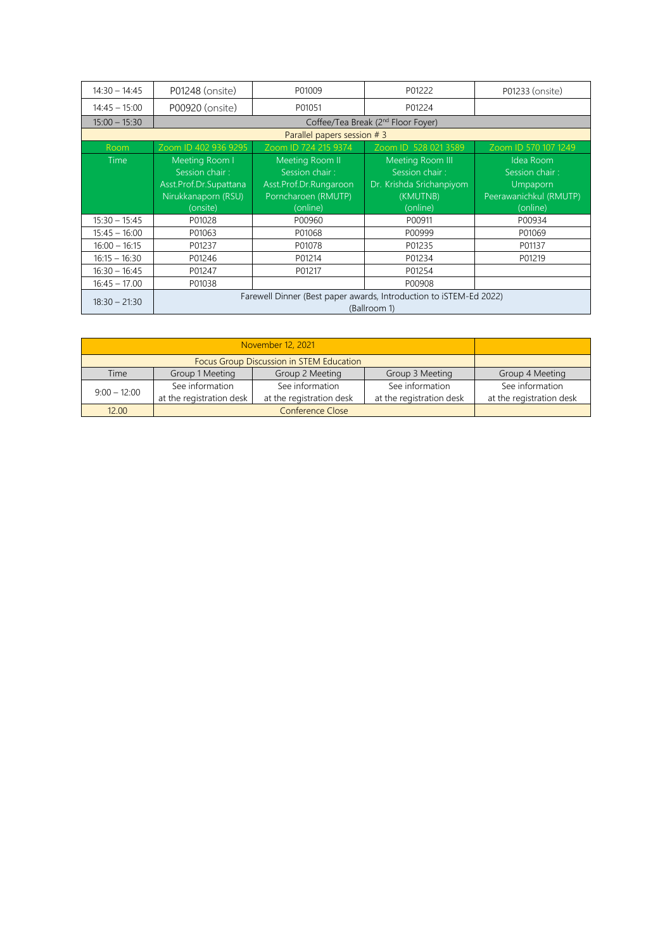| $14:30 - 14:45$ | P01248 (onsite)                                                                    | P01009                      | P01222                   | P01233 (onsite)        |  |  |  |
|-----------------|------------------------------------------------------------------------------------|-----------------------------|--------------------------|------------------------|--|--|--|
| $14:45 - 15:00$ | P00920 (onsite)                                                                    | P01051                      | P01224                   |                        |  |  |  |
| $15:00 - 15:30$ | Coffee/Tea Break (2 <sup>nd</sup> Floor Foyer)                                     |                             |                          |                        |  |  |  |
|                 |                                                                                    | Parallel papers session # 3 |                          |                        |  |  |  |
| Room            | Zoom ID 402 936 9295                                                               | Zoom ID 724 215 9374        | Zoom ID 528 021 3589     | Zoom ID 570 107 1249   |  |  |  |
| <b>Time</b>     | Meeting Room I                                                                     | Meeting Room II             | Meeting Room III         | Idea Room              |  |  |  |
|                 | Session chair:                                                                     | Session chair:              | Session chair:           | Session chair:         |  |  |  |
|                 | Asst.Prof.Dr.Supattana                                                             | Asst.Prof.Dr.Rungaroon      | Dr. Krishda Srichanpiyom | <b>Umpaporn</b>        |  |  |  |
|                 | Nirukkanaporn (RSU)                                                                | Porncharoen (RMUTP)         | (KMUTNB)                 | Peerawanichkul (RMUTP) |  |  |  |
|                 | (onsite)                                                                           | (online)                    | (online)                 | (online)               |  |  |  |
| $15:30 - 15:45$ | P01028                                                                             | P00960                      | P00911                   | P00934                 |  |  |  |
| $15:45 - 16:00$ | P01063                                                                             | P01068                      | P00999                   | P01069                 |  |  |  |
| $16:00 - 16:15$ | P01237                                                                             | P01078                      | P01235                   | P01137                 |  |  |  |
| $16:15 - 16:30$ | P01246                                                                             | P01214                      | P01234                   | P01219                 |  |  |  |
| $16:30 - 16:45$ | P01247                                                                             | P01217                      | P01254                   |                        |  |  |  |
| $16:45 - 17.00$ | P01038                                                                             |                             | P00908                   |                        |  |  |  |
| $18:30 - 21:30$ | Farewell Dinner (Best paper awards, Introduction to iSTEM-Ed 2022)<br>(Ballroom 1) |                             |                          |                        |  |  |  |

| Time           | Group 1 Meeting<br>Group 2 Meeting<br>Group 3 Meeting |                          |                          |                          |  |  |
|----------------|-------------------------------------------------------|--------------------------|--------------------------|--------------------------|--|--|
| $9:00 - 12:00$ | See information                                       | See information          | See information          | See information          |  |  |
|                | at the registration desk                              | at the registration desk | at the registration desk | at the registration desk |  |  |
| 12.00          |                                                       |                          |                          |                          |  |  |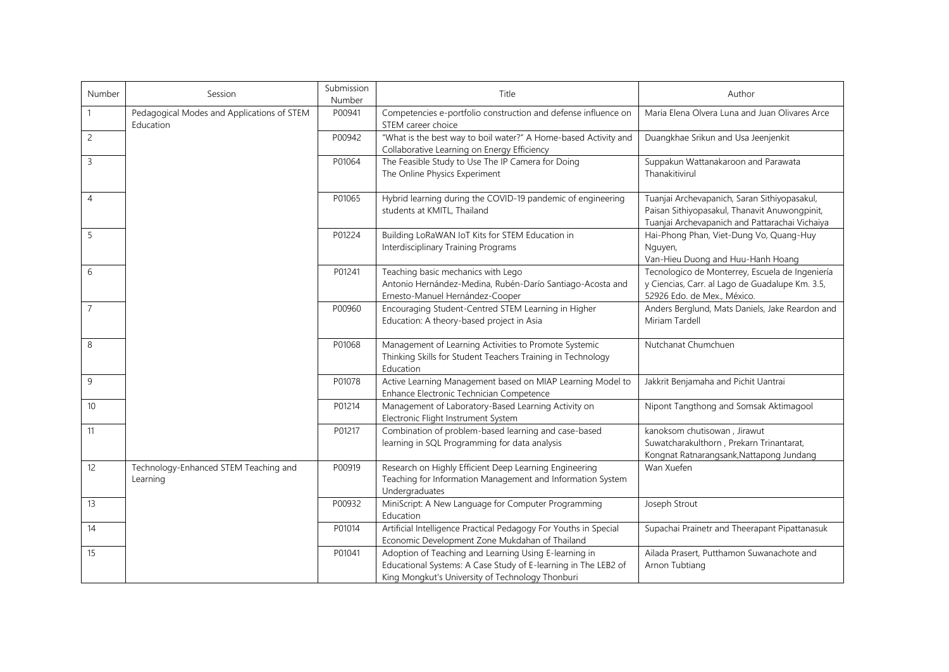| Number         | Session                                                 | Submission<br>Number | Title                                                                                                                                                                       | Author                                                                                                                                          |
|----------------|---------------------------------------------------------|----------------------|-----------------------------------------------------------------------------------------------------------------------------------------------------------------------------|-------------------------------------------------------------------------------------------------------------------------------------------------|
|                | Pedagogical Modes and Applications of STEM<br>Education | P00941               | Competencies e-portfolio construction and defense influence on<br>STEM career choice                                                                                        | Maria Elena Olvera Luna and Juan Olivares Arce                                                                                                  |
| $\overline{c}$ |                                                         | P00942               | "What is the best way to boil water?" A Home-based Activity and<br>Collaborative Learning on Energy Efficiency                                                              | Duangkhae Srikun and Usa Jeenjenkit                                                                                                             |
| $\mathbf{3}$   |                                                         | P01064               | The Feasible Study to Use The IP Camera for Doing<br>The Online Physics Experiment                                                                                          | Suppakun Wattanakaroon and Parawata<br>Thanakitivirul                                                                                           |
| $\overline{4}$ |                                                         | P01065               | Hybrid learning during the COVID-19 pandemic of engineering<br>students at KMITL, Thailand                                                                                  | Tuanjai Archevapanich, Saran Sithiyopasakul,<br>Paisan Sithiyopasakul, Thanavit Anuwongpinit,<br>Tuanjai Archevapanich and Pattarachai Vichaiya |
| 5              |                                                         | P01224               | Building LoRaWAN IoT Kits for STEM Education in<br>Interdisciplinary Training Programs                                                                                      | Hai-Phong Phan, Viet-Dung Vo, Quang-Huy<br>Nguyen,<br>Van-Hieu Duong and Huu-Hanh Hoang                                                         |
| 6              |                                                         | P01241               | Teaching basic mechanics with Lego<br>Antonio Hernández-Medina, Rubén-Darío Santiago-Acosta and<br>Ernesto-Manuel Hernández-Cooper                                          | Tecnologico de Monterrey, Escuela de Ingeniería<br>y Ciencias, Carr. al Lago de Guadalupe Km. 3.5,<br>52926 Edo. de Mex., México.               |
| $\overline{7}$ |                                                         | P00960               | Encouraging Student-Centred STEM Learning in Higher<br>Education: A theory-based project in Asia                                                                            | Anders Berglund, Mats Daniels, Jake Reardon and<br>Miriam Tardell                                                                               |
| $\,8\,$        |                                                         | P01068               | Management of Learning Activities to Promote Systemic<br>Thinking Skills for Student Teachers Training in Technology<br>Education                                           | Nutchanat Chumchuen                                                                                                                             |
| 9              |                                                         | P01078               | Active Learning Management based on MIAP Learning Model to<br>Enhance Electronic Technician Competence                                                                      | Jakkrit Benjamaha and Pichit Uantrai                                                                                                            |
| 10             |                                                         | P01214               | Management of Laboratory-Based Learning Activity on<br>Electronic Flight Instrument System                                                                                  | Nipont Tangthong and Somsak Aktimagool                                                                                                          |
| 11             |                                                         | P01217               | Combination of problem-based learning and case-based<br>learning in SQL Programming for data analysis                                                                       | kanoksom chutisowan, Jirawut<br>Suwatcharakulthorn, Prekarn Trinantarat,<br>Kongnat Ratnarangsank, Nattapong Jundang                            |
| 12             | Technology-Enhanced STEM Teaching and<br>Learning       | P00919               | Research on Highly Efficient Deep Learning Engineering<br>Teaching for Information Management and Information System<br>Undergraduates                                      | Wan Xuefen                                                                                                                                      |
| 13             |                                                         | P00932               | MiniScript: A New Language for Computer Programming<br>Education                                                                                                            | Joseph Strout                                                                                                                                   |
| 14             |                                                         | P01014               | Artificial Intelligence Practical Pedagogy For Youths in Special<br>Economic Development Zone Mukdahan of Thailand                                                          | Supachai Prainetr and Theerapant Pipattanasuk                                                                                                   |
| 15             |                                                         | P01041               | Adoption of Teaching and Learning Using E-learning in<br>Educational Systems: A Case Study of E-learning in The LEB2 of<br>King Mongkut's University of Technology Thonburi | Ailada Prasert, Putthamon Suwanachote and<br>Arnon Tubtiang                                                                                     |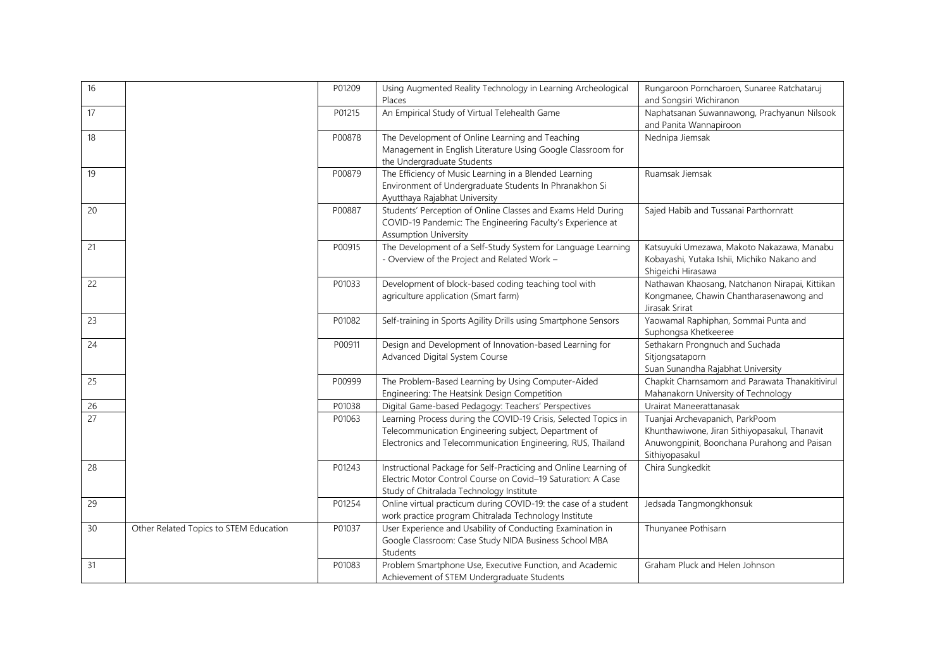| 16 |                                        | P01209 | Using Augmented Reality Technology in Learning Archeological<br>Places                                                                                                                  | Rungaroon Porncharoen, Sunaree Ratchataruj<br>and Songsiri Wichiranon                                                                             |
|----|----------------------------------------|--------|-----------------------------------------------------------------------------------------------------------------------------------------------------------------------------------------|---------------------------------------------------------------------------------------------------------------------------------------------------|
| 17 |                                        | P01215 | An Empirical Study of Virtual Telehealth Game                                                                                                                                           | Naphatsanan Suwannawong, Prachyanun Nilsook<br>and Panita Wannapiroon                                                                             |
| 18 |                                        | P00878 | The Development of Online Learning and Teaching<br>Management in English Literature Using Google Classroom for<br>the Undergraduate Students                                            | Nednipa Jiemsak                                                                                                                                   |
| 19 |                                        | P00879 | The Efficiency of Music Learning in a Blended Learning<br>Environment of Undergraduate Students In Phranakhon Si<br>Ayutthaya Rajabhat University                                       | Ruamsak Jiemsak                                                                                                                                   |
| 20 |                                        | P00887 | Students' Perception of Online Classes and Exams Held During<br>COVID-19 Pandemic: The Engineering Faculty's Experience at<br><b>Assumption University</b>                              | Sajed Habib and Tussanai Parthornratt                                                                                                             |
| 21 |                                        | P00915 | The Development of a Self-Study System for Language Learning<br>- Overview of the Project and Related Work -                                                                            | Katsuyuki Umezawa, Makoto Nakazawa, Manabu<br>Kobayashi, Yutaka Ishii, Michiko Nakano and<br>Shigeichi Hirasawa                                   |
| 22 |                                        | P01033 | Development of block-based coding teaching tool with<br>agriculture application (Smart farm)                                                                                            | Nathawan Khaosang, Natchanon Nirapai, Kittikan<br>Kongmanee, Chawin Chantharasenawong and<br>Jirasak Srirat                                       |
| 23 |                                        | P01082 | Self-training in Sports Agility Drills using Smartphone Sensors                                                                                                                         | Yaowamal Raphiphan, Sommai Punta and<br>Suphongsa Khetkeeree                                                                                      |
| 24 |                                        | P00911 | Design and Development of Innovation-based Learning for<br>Advanced Digital System Course                                                                                               | Sethakarn Prongnuch and Suchada<br>Sitjongsataporn<br>Suan Sunandha Rajabhat University                                                           |
| 25 |                                        | P00999 | The Problem-Based Learning by Using Computer-Aided<br>Engineering: The Heatsink Design Competition                                                                                      | Chapkit Charnsamorn and Parawata Thanakitivirul<br>Mahanakorn University of Technology                                                            |
| 26 |                                        | P01038 | Digital Game-based Pedagogy: Teachers' Perspectives                                                                                                                                     | Urairat Maneerattanasak                                                                                                                           |
| 27 |                                        | P01063 | Learning Process during the COVID-19 Crisis, Selected Topics in<br>Telecommunication Engineering subject, Department of<br>Electronics and Telecommunication Engineering, RUS, Thailand | Tuanjai Archevapanich, ParkPoom<br>Khunthawiwone, Jiran Sithiyopasakul, Thanavit<br>Anuwongpinit, Boonchana Purahong and Paisan<br>Sithiyopasakul |
| 28 |                                        | P01243 | Instructional Package for Self-Practicing and Online Learning of<br>Electric Motor Control Course on Covid-19 Saturation: A Case<br>Study of Chitralada Technology Institute            | Chira Sungkedkit                                                                                                                                  |
| 29 |                                        | P01254 | Online virtual practicum during COVID-19: the case of a student<br>work practice program Chitralada Technology Institute                                                                | Jedsada Tangmongkhonsuk                                                                                                                           |
| 30 | Other Related Topics to STEM Education | P01037 | User Experience and Usability of Conducting Examination in<br>Google Classroom: Case Study NIDA Business School MBA<br>Students                                                         | Thunyanee Pothisarn                                                                                                                               |
| 31 |                                        | P01083 | Problem Smartphone Use, Executive Function, and Academic<br>Achievement of STEM Undergraduate Students                                                                                  | Graham Pluck and Helen Johnson                                                                                                                    |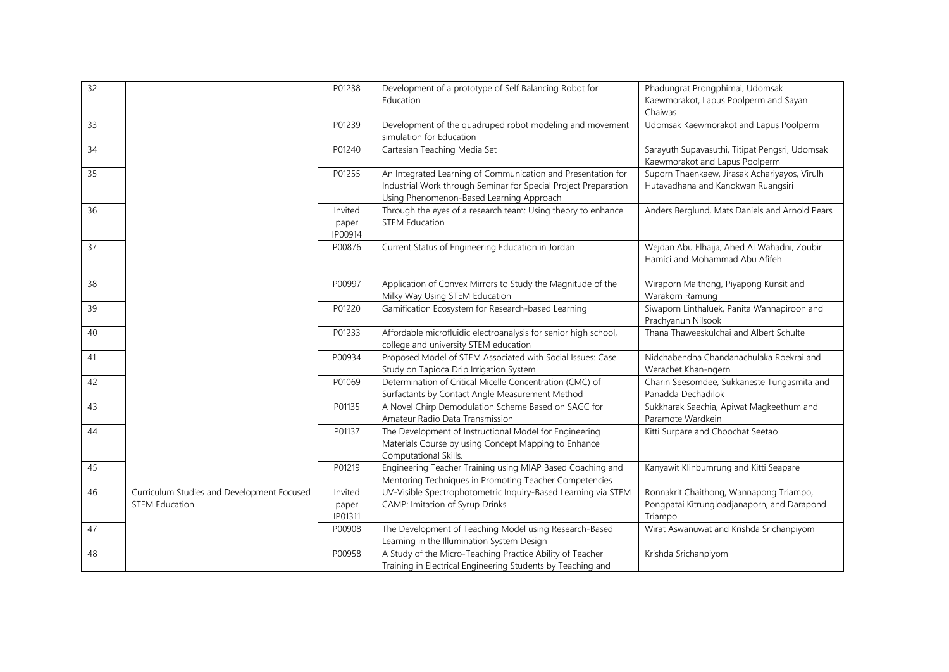| 32 |                                                                     | P01238                      | Development of a prototype of Self Balancing Robot for<br>Education                                                                                                         | Phadungrat Prongphimai, Udomsak<br>Kaewmorakot, Lapus Poolperm and Sayan<br>Chaiwas               |
|----|---------------------------------------------------------------------|-----------------------------|-----------------------------------------------------------------------------------------------------------------------------------------------------------------------------|---------------------------------------------------------------------------------------------------|
| 33 |                                                                     | P01239                      | Development of the quadruped robot modeling and movement<br>simulation for Education                                                                                        | Udomsak Kaewmorakot and Lapus Poolperm                                                            |
| 34 |                                                                     | P01240                      | Cartesian Teaching Media Set                                                                                                                                                | Sarayuth Supavasuthi, Titipat Pengsri, Udomsak<br>Kaewmorakot and Lapus Poolperm                  |
| 35 |                                                                     | P01255                      | An Integrated Learning of Communication and Presentation for<br>Industrial Work through Seminar for Special Project Preparation<br>Using Phenomenon-Based Learning Approach | Suporn Thaenkaew, Jirasak Achariyayos, Virulh<br>Hutavadhana and Kanokwan Ruangsiri               |
| 36 |                                                                     | Invited<br>paper<br>IP00914 | Through the eyes of a research team: Using theory to enhance<br><b>STEM Education</b>                                                                                       | Anders Berglund, Mats Daniels and Arnold Pears                                                    |
| 37 |                                                                     | P00876                      | Current Status of Engineering Education in Jordan                                                                                                                           | Wejdan Abu Elhaija, Ahed Al Wahadni, Zoubir<br>Hamici and Mohammad Abu Afifeh                     |
| 38 |                                                                     | P00997                      | Application of Convex Mirrors to Study the Magnitude of the<br>Milky Way Using STEM Education                                                                               | Wiraporn Maithong, Piyapong Kunsit and<br>Warakorn Ramung                                         |
| 39 |                                                                     | P01220                      | Gamification Ecosystem for Research-based Learning                                                                                                                          | Siwaporn Linthaluek, Panita Wannapiroon and<br>Prachyanun Nilsook                                 |
| 40 |                                                                     | P01233                      | Affordable microfluidic electroanalysis for senior high school,<br>college and university STEM education                                                                    | Thana Thaweeskulchai and Albert Schulte                                                           |
| 41 |                                                                     | P00934                      | Proposed Model of STEM Associated with Social Issues: Case<br>Study on Tapioca Drip Irrigation System                                                                       | Nidchabendha Chandanachulaka Roekrai and<br>Werachet Khan-ngern                                   |
| 42 |                                                                     | P01069                      | Determination of Critical Micelle Concentration (CMC) of<br>Surfactants by Contact Angle Measurement Method                                                                 | Charin Seesomdee, Sukkaneste Tungasmita and<br>Panadda Dechadilok                                 |
| 43 |                                                                     | P01135                      | A Novel Chirp Demodulation Scheme Based on SAGC for<br>Amateur Radio Data Transmission                                                                                      | Sukkharak Saechia, Apiwat Magkeethum and<br>Paramote Wardkein                                     |
| 44 |                                                                     | P01137                      | The Development of Instructional Model for Engineering<br>Materials Course by using Concept Mapping to Enhance<br>Computational Skills.                                     | Kitti Surpare and Choochat Seetao                                                                 |
| 45 |                                                                     | P01219                      | Engineering Teacher Training using MIAP Based Coaching and<br>Mentoring Techniques in Promoting Teacher Competencies                                                        | Kanyawit Klinbumrung and Kitti Seapare                                                            |
| 46 | Curriculum Studies and Development Focused<br><b>STEM Education</b> | Invited<br>paper<br>IP01311 | UV-Visible Spectrophotometric Inquiry-Based Learning via STEM<br>CAMP: Imitation of Syrup Drinks                                                                            | Ronnakrit Chaithong, Wannapong Triampo,<br>Pongpatai Kitrungloadjanaporn, and Darapond<br>Triampo |
| 47 |                                                                     | P00908                      | The Development of Teaching Model using Research-Based<br>Learning in the Illumination System Design                                                                        | Wirat Aswanuwat and Krishda Srichanpiyom                                                          |
| 48 |                                                                     | P00958                      | A Study of the Micro-Teaching Practice Ability of Teacher<br>Training in Electrical Engineering Students by Teaching and                                                    | Krishda Srichanpiyom                                                                              |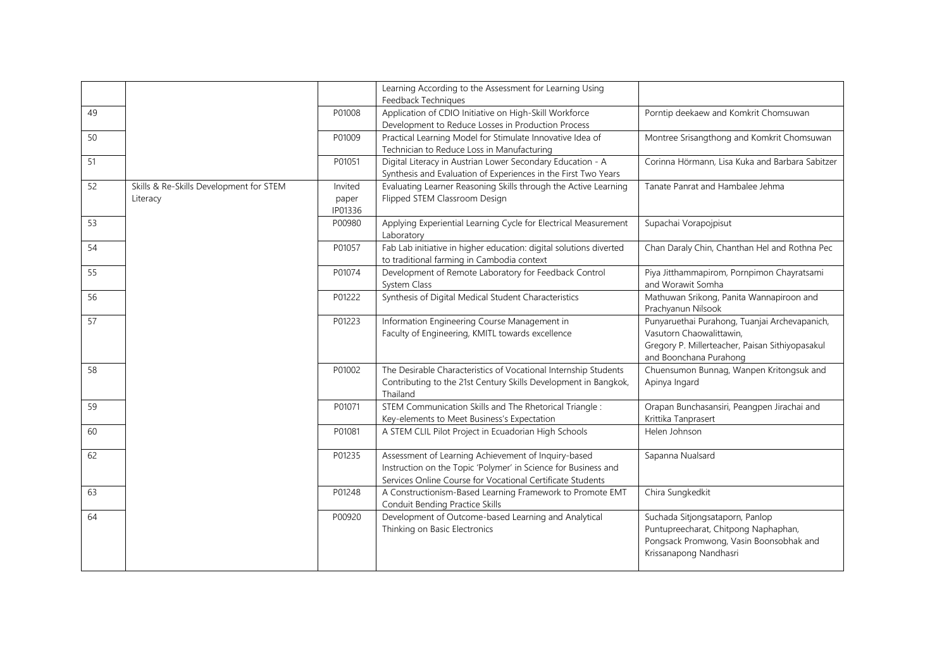|    |                                                     |                             | Learning According to the Assessment for Learning Using<br>Feedback Techniques                                                                                                      |                                                                                                                                                        |
|----|-----------------------------------------------------|-----------------------------|-------------------------------------------------------------------------------------------------------------------------------------------------------------------------------------|--------------------------------------------------------------------------------------------------------------------------------------------------------|
| 49 |                                                     | P01008                      | Application of CDIO Initiative on High-Skill Workforce<br>Development to Reduce Losses in Production Process                                                                        | Porntip deekaew and Komkrit Chomsuwan                                                                                                                  |
| 50 |                                                     | P01009                      | Practical Learning Model for Stimulate Innovative Idea of<br>Technician to Reduce Loss in Manufacturing                                                                             | Montree Srisangthong and Komkrit Chomsuwan                                                                                                             |
| 51 |                                                     | P01051                      | Digital Literacy in Austrian Lower Secondary Education - A<br>Synthesis and Evaluation of Experiences in the First Two Years                                                        | Corinna Hörmann, Lisa Kuka and Barbara Sabitzer                                                                                                        |
| 52 | Skills & Re-Skills Development for STEM<br>Literacy | Invited<br>paper<br>IP01336 | Evaluating Learner Reasoning Skills through the Active Learning<br>Flipped STEM Classroom Design                                                                                    | Tanate Panrat and Hambalee Jehma                                                                                                                       |
| 53 |                                                     | P00980                      | Applying Experiential Learning Cycle for Electrical Measurement<br>Laboratory                                                                                                       | Supachai Vorapojpisut                                                                                                                                  |
| 54 |                                                     | P01057                      | Fab Lab initiative in higher education: digital solutions diverted<br>to traditional farming in Cambodia context                                                                    | Chan Daraly Chin, Chanthan Hel and Rothna Pec                                                                                                          |
| 55 |                                                     | P01074                      | Development of Remote Laboratory for Feedback Control<br>System Class                                                                                                               | Piya Jitthammapirom, Pornpimon Chayratsami<br>and Worawit Somha                                                                                        |
| 56 |                                                     | P01222                      | Synthesis of Digital Medical Student Characteristics                                                                                                                                | Mathuwan Srikong, Panita Wannapiroon and<br>Prachyanun Nilsook                                                                                         |
| 57 |                                                     | P01223                      | Information Engineering Course Management in<br>Faculty of Engineering, KMITL towards excellence                                                                                    | Punyaruethai Purahong, Tuanjai Archevapanich,<br>Vasutorn Chaowalittawin,<br>Gregory P. Millerteacher, Paisan Sithiyopasakul<br>and Boonchana Purahong |
| 58 |                                                     | P01002                      | The Desirable Characteristics of Vocational Internship Students<br>Contributing to the 21st Century Skills Development in Bangkok,<br>Thailand                                      | Chuensumon Bunnag, Wanpen Kritongsuk and<br>Apinya Ingard                                                                                              |
| 59 |                                                     | P01071                      | STEM Communication Skills and The Rhetorical Triangle:<br>Key-elements to Meet Business's Expectation                                                                               | Orapan Bunchasansiri, Peangpen Jirachai and<br>Krittika Tanprasert                                                                                     |
| 60 |                                                     | P01081                      | A STEM CLIL Pilot Project in Ecuadorian High Schools                                                                                                                                | Helen Johnson                                                                                                                                          |
| 62 |                                                     | P01235                      | Assessment of Learning Achievement of Inquiry-based<br>Instruction on the Topic 'Polymer' in Science for Business and<br>Services Online Course for Vocational Certificate Students | Sapanna Nualsard                                                                                                                                       |
| 63 |                                                     | P01248                      | A Constructionism-Based Learning Framework to Promote EMT<br>Conduit Bending Practice Skills                                                                                        | Chira Sungkedkit                                                                                                                                       |
| 64 |                                                     | P00920                      | Development of Outcome-based Learning and Analytical<br>Thinking on Basic Electronics                                                                                               | Suchada Sitjongsataporn, Panlop<br>Puntupreecharat, Chitpong Naphaphan,<br>Pongsack Promwong, Vasin Boonsobhak and<br>Krissanapong Nandhasri           |